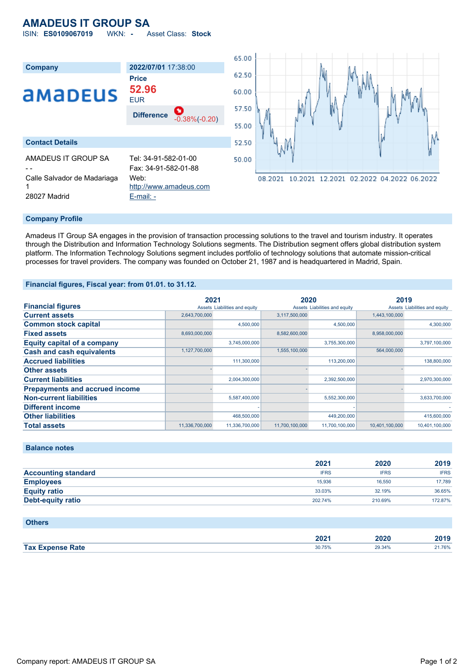# **AMADEUS IT GROUP SA**

ISIN: **ES0109067019** WKN: **-** Asset Class: **Stock**



#### **Company Profile**

Amadeus IT Group SA engages in the provision of transaction processing solutions to the travel and tourism industry. It operates through the Distribution and Information Technology Solutions segments. The Distribution segment offers global distribution system platform. The Information Technology Solutions segment includes portfolio of technology solutions that automate mission-critical processes for travel providers. The company was founded on October 21, 1987 and is headquartered in Madrid, Spain.

#### **Financial figures, Fiscal year: from 01.01. to 31.12.**

|                                       | 2021           |                               | 2020           |                               | 2019           |                               |
|---------------------------------------|----------------|-------------------------------|----------------|-------------------------------|----------------|-------------------------------|
| <b>Financial figures</b>              |                | Assets Liabilities and equity |                | Assets Liabilities and equity |                | Assets Liabilities and equity |
| <b>Current assets</b>                 | 2,643,700,000  |                               | 3,117,500,000  |                               | 1,443,100,000  |                               |
| <b>Common stock capital</b>           |                | 4,500,000                     |                | 4,500,000                     |                | 4,300,000                     |
| <b>Fixed assets</b>                   | 8,693,000,000  |                               | 8,582,600,000  |                               | 8,958,000,000  |                               |
| <b>Equity capital of a company</b>    |                | 3,745,000,000                 |                | 3,755,300,000                 |                | 3,797,100,000                 |
| <b>Cash and cash equivalents</b>      | 1,127,700,000  |                               | 1,555,100,000  |                               | 564,000,000    |                               |
| <b>Accrued liabilities</b>            |                | 111,300,000                   |                | 113,200,000                   |                | 138,800,000                   |
| <b>Other assets</b>                   |                |                               |                |                               |                |                               |
| <b>Current liabilities</b>            |                | 2,004,300,000                 |                | 2,392,500,000                 |                | 2,970,300,000                 |
| <b>Prepayments and accrued income</b> |                |                               |                |                               |                |                               |
| <b>Non-current liabilities</b>        |                | 5,587,400,000                 |                | 5,552,300,000                 |                | 3,633,700,000                 |
| <b>Different income</b>               |                |                               |                |                               |                |                               |
| <b>Other liabilities</b>              |                | 468,500,000                   |                | 449,200,000                   |                | 415,600,000                   |
| <b>Total assets</b>                   | 11,336,700,000 | 11,336,700,000                | 11,700,100,000 | 11,700,100,000                | 10.401.100.000 | 10,401,100,000                |

### **Balance notes**

|                            | 2021        | 2020        | 2019        |
|----------------------------|-------------|-------------|-------------|
| <b>Accounting standard</b> | <b>IFRS</b> | <b>IFRS</b> | <b>IFRS</b> |
| <b>Employees</b>           | 15,936      | 16.550      | 17,789      |
| <b>Equity ratio</b>        | 33.03%      | 32.19%      | 36.65%      |
| Debt-equity ratio          | 202.74%     | 210.69%     | 172.87%     |

#### **Others**

|                         | 202 <sup>7</sup> | 2020   | 2010   |
|-------------------------|------------------|--------|--------|
| <b>Tax Expense Rate</b> | 30.75%           | 29.34% | 21.76% |